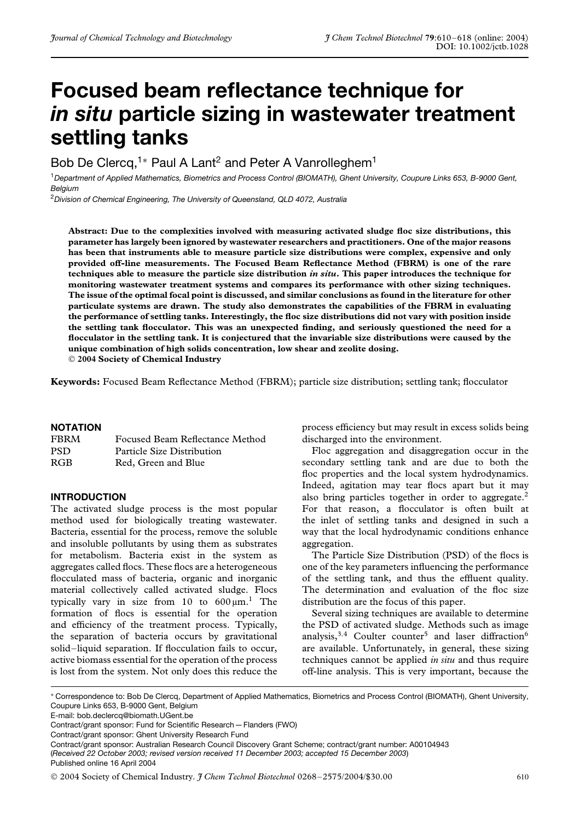# **Focused beam reflectance technique for** *in situ* **particle sizing in wastewater treatment settling tanks**

Bob De Clercq,<sup>1</sup>\* Paul A Lant<sup>2</sup> and Peter A Vanrolleghem<sup>1</sup>

<sup>1</sup>*Department of Applied Mathematics, Biometrics and Process Control (BIOMATH), Ghent University, Coupure Links 653, B-9000 Gent, Belgium*

<sup>2</sup>*Division of Chemical Engineering, The University of Queensland, QLD 4072, Australia*

**Abstract: Due to the complexities involved with measuring activated sludge floc size distributions, this parameter has largely been ignored by wastewater researchers and practitioners. One of the major reasons has been that instruments able to measure particle size distributions were complex, expensive and only provided off-line measurements. The Focused Beam Reflectance Method (FBRM) is one of the rare techniques able to measure the particle size distribution** *in situ***. This paper introduces the technique for monitoring wastewater treatment systems and compares its performance with other sizing techniques. The issue of the optimal focal point is discussed, and similar conclusions as found in the literature for other particulate systems are drawn. The study also demonstrates the capabilities of the FBRM in evaluating the performance of settling tanks. Interestingly, the floc size distributions did not vary with position inside the settling tank flocculator. This was an unexpected finding, and seriously questioned the need for a flocculator in the settling tank. It is conjectured that the invariable size distributions were caused by the unique combination of high solids concentration, low shear and zeolite dosing. 2004 Society of Chemical Industry**

**Keywords:** Focused Beam Reflectance Method (FBRM); particle size distribution; settling tank; flocculator

### **NOTATION**

| <b>FBRM</b> | Focused Beam Reflectance Method |
|-------------|---------------------------------|
| <b>PSD</b>  | Particle Size Distribution      |
| RGB         | Red, Green and Blue             |

## **INTRODUCTION**

The activated sludge process is the most popular method used for biologically treating wastewater. Bacteria, essential for the process, remove the soluble and insoluble pollutants by using them as substrates for metabolism. Bacteria exist in the system as aggregates called flocs. These flocs are a heterogeneous flocculated mass of bacteria, organic and inorganic material collectively called activated sludge. Flocs typically vary in size from 10 to  $600 \mu m$ .<sup>1</sup> The formation of flocs is essential for the operation and efficiency of the treatment process. Typically, the separation of bacteria occurs by gravitational solid–liquid separation. If flocculation fails to occur, active biomass essential for the operation of the process is lost from the system. Not only does this reduce the process efficiency but may result in excess solids being discharged into the environment.

Floc aggregation and disaggregation occur in the secondary settling tank and are due to both the floc properties and the local system hydrodynamics. Indeed, agitation may tear flocs apart but it may also bring particles together in order to aggregate.<sup>2</sup> For that reason, a flocculator is often built at the inlet of settling tanks and designed in such a way that the local hydrodynamic conditions enhance aggregation.

The Particle Size Distribution (PSD) of the flocs is one of the key parameters influencing the performance of the settling tank, and thus the effluent quality. The determination and evaluation of the floc size distribution are the focus of this paper.

Several sizing techniques are available to determine the PSD of activated sludge. Methods such as image analysis,<sup>3,4</sup> Coulter counter<sup>5</sup> and laser diffraction<sup>6</sup> are available. Unfortunately, in general, these sizing techniques cannot be applied *in situ* and thus require off-line analysis. This is very important, because the

E-mail: bob.declercq@biomath.UGent.be

<sup>∗</sup> Correspondence to: Bob De Clercq, Department of Applied Mathematics, Biometrics and Process Control (BIOMATH), Ghent University, Coupure Links 653, B-9000 Gent, Belgium

Contract/grant sponsor: Fund for Scientific Research—Flanders (FWO)

Contract/grant sponsor: Ghent University Research Fund

Contract/grant sponsor: Australian Research Council Discovery Grant Scheme; contract/grant number: A00104943

<sup>(</sup>*Received 22 October 2003; revised version received 11 December 2003; accepted 15 December 2003*) Published online 16 April 2004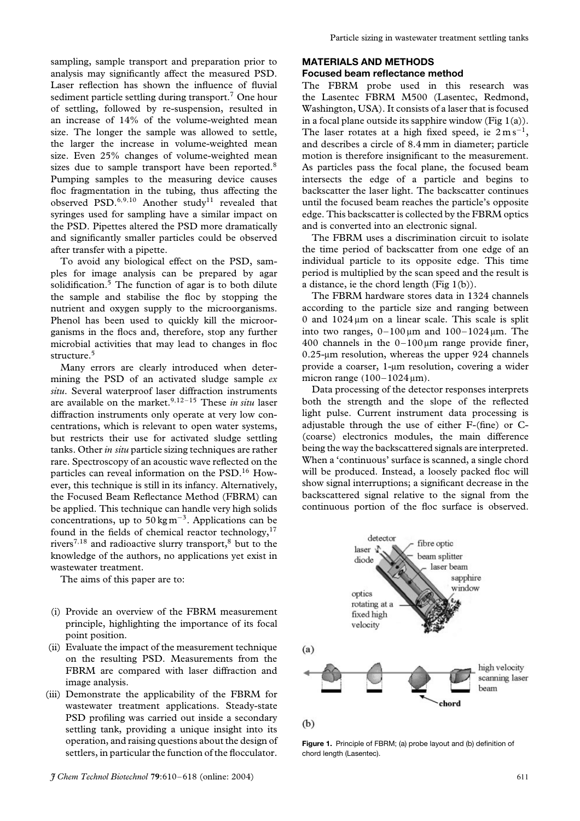sampling, sample transport and preparation prior to analysis may significantly affect the measured PSD. Laser reflection has shown the influence of fluvial sediment particle settling during transport.<sup>7</sup> One hour of settling, followed by re-suspension, resulted in an increase of 14% of the volume-weighted mean size. The longer the sample was allowed to settle, the larger the increase in volume-weighted mean size. Even 25% changes of volume-weighted mean sizes due to sample transport have been reported.<sup>8</sup> Pumping samples to the measuring device causes floc fragmentation in the tubing, thus affecting the observed PSD.<sup>6,9,10</sup> Another study<sup>11</sup> revealed that syringes used for sampling have a similar impact on the PSD. Pipettes altered the PSD more dramatically and significantly smaller particles could be observed after transfer with a pipette.

To avoid any biological effect on the PSD, samples for image analysis can be prepared by agar solidification.<sup>5</sup> The function of agar is to both dilute the sample and stabilise the floc by stopping the nutrient and oxygen supply to the microorganisms. Phenol has been used to quickly kill the microorganisms in the flocs and, therefore, stop any further microbial activities that may lead to changes in floc structure.<sup>5</sup>

Many errors are clearly introduced when determining the PSD of an activated sludge sample *ex situ*. Several waterproof laser diffraction instruments are available on the market.9*,*12–15 These *in situ* laser diffraction instruments only operate at very low concentrations, which is relevant to open water systems, but restricts their use for activated sludge settling tanks. Other *in situ* particle sizing techniques are rather rare. Spectroscopy of an acoustic wave reflected on the particles can reveal information on the PSD.<sup>16</sup> However, this technique is still in its infancy. Alternatively, the Focused Beam Reflectance Method (FBRM) can be applied. This technique can handle very high solids concentrations, up to  $50 \text{ kg m}^{-3}$ . Applications can be found in the fields of chemical reactor technology, $17$ rivers<sup>7,18</sup> and radioactive slurry transport,<sup>8</sup> but to the knowledge of the authors, no applications yet exist in wastewater treatment.

The aims of this paper are to:

- (i) Provide an overview of the FBRM measurement principle, highlighting the importance of its focal point position.
- (ii) Evaluate the impact of the measurement technique on the resulting PSD. Measurements from the FBRM are compared with laser diffraction and image analysis.
- (iii) Demonstrate the applicability of the FBRM for wastewater treatment applications. Steady-state PSD profiling was carried out inside a secondary settling tank, providing a unique insight into its operation, and raising questions about the design of settlers, in particular the function of the flocculator.

# **MATERIALS AND METHODS**

## **Focused beam reflectance method**

The FBRM probe used in this research was the Lasentec FBRM M500 (Lasentec, Redmond, Washington, USA). It consists of a laser that is focused in a focal plane outside its sapphire window (Fig  $1(a)$ ). The laser rotates at a high fixed speed, ie  $2 \text{ m s}^{-1}$ , and describes a circle of 8.4 mm in diameter; particle motion is therefore insignificant to the measurement. As particles pass the focal plane, the focused beam intersects the edge of a particle and begins to backscatter the laser light. The backscatter continues until the focused beam reaches the particle's opposite edge. This backscatter is collected by the FBRM optics and is converted into an electronic signal.

The FBRM uses a discrimination circuit to isolate the time period of backscatter from one edge of an individual particle to its opposite edge. This time period is multiplied by the scan speed and the result is a distance, ie the chord length (Fig 1(b)).

The FBRM hardware stores data in 1324 channels according to the particle size and ranging between 0 and  $1024 \mu m$  on a linear scale. This scale is split into two ranges,  $0-100 \mu m$  and  $100-1024 \mu m$ . The 400 channels in the  $0-100 \mu m$  range provide finer, 0.25-µm resolution, whereas the upper 924 channels provide a coarser, 1-µm resolution, covering a wider micron range *(*100–1024 µm*)*.

Data processing of the detector responses interprets both the strength and the slope of the reflected light pulse. Current instrument data processing is adjustable through the use of either F-(fine) or C- (coarse) electronics modules, the main difference being the way the backscattered signals are interpreted. When a 'continuous' surface is scanned, a single chord will be produced. Instead, a loosely packed floc will show signal interruptions; a significant decrease in the backscattered signal relative to the signal from the continuous portion of the floc surface is observed.



**Figure 1.** Principle of FBRM; (a) probe layout and (b) definition of chord length (Lasentec).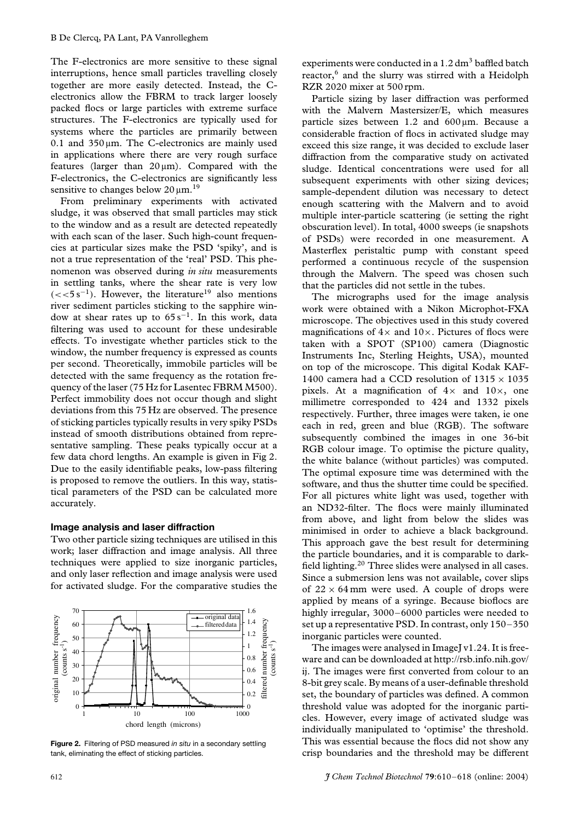The F-electronics are more sensitive to these signal interruptions, hence small particles travelling closely together are more easily detected. Instead, the Celectronics allow the FBRM to track larger loosely packed flocs or large particles with extreme surface structures. The F-electronics are typically used for systems where the particles are primarily between 0.1 and  $350 \mu m$ . The C-electronics are mainly used in applications where there are very rough surface features (larger than  $20 \mu m$ ). Compared with the F-electronics, the C-electronics are significantly less sensitive to changes below  $20 \mu m$ .<sup>19</sup>

From preliminary experiments with activated sludge, it was observed that small particles may stick to the window and as a result are detected repeatedly with each scan of the laser. Such high-count frequencies at particular sizes make the PSD 'spiky', and is not a true representation of the 'real' PSD. This phenomenon was observed during *in situ* measurements in settling tanks, where the shear rate is very low  $(<$  < 5 s<sup>-1</sup>). However, the literature<sup>19</sup> also mentions river sediment particles sticking to the sapphire window at shear rates up to  $65 s^{-1}$ . In this work, data filtering was used to account for these undesirable effects. To investigate whether particles stick to the window, the number frequency is expressed as counts per second. Theoretically, immobile particles will be detected with the same frequency as the rotation frequency of the laser (75 Hz for Lasentec FBRM M500). Perfect immobility does not occur though and slight deviations from this 75 Hz are observed. The presence of sticking particles typically results in very spiky PSDs instead of smooth distributions obtained from representative sampling. These peaks typically occur at a few data chord lengths. An example is given in Fig 2. Due to the easily identifiable peaks, low-pass filtering is proposed to remove the outliers. In this way, statistical parameters of the PSD can be calculated more accurately.

### **Image analysis and laser diffraction**

Two other particle sizing techniques are utilised in this work; laser diffraction and image analysis. All three techniques were applied to size inorganic particles, and only laser reflection and image analysis were used for activated sludge. For the comparative studies the



**Figure 2.** Filtering of PSD measured *in situ* in a secondary settling tank, eliminating the effect of sticking particles.

experiments were conducted in a 1.2 dm<sup>3</sup> baffled batch reactor,<sup>6</sup> and the slurry was stirred with a Heidolph RZR 2020 mixer at 500 rpm.

Particle sizing by laser diffraction was performed with the Malvern Mastersizer/E, which measures particle sizes between  $1.2$  and  $600 \mu m$ . Because a considerable fraction of flocs in activated sludge may exceed this size range, it was decided to exclude laser diffraction from the comparative study on activated sludge. Identical concentrations were used for all subsequent experiments with other sizing devices; sample-dependent dilution was necessary to detect enough scattering with the Malvern and to avoid multiple inter-particle scattering (ie setting the right obscuration level). In total, 4000 sweeps (ie snapshots of PSDs) were recorded in one measurement. A Masterflex peristaltic pump with constant speed performed a continuous recycle of the suspension through the Malvern. The speed was chosen such that the particles did not settle in the tubes.

The micrographs used for the image analysis work were obtained with a Nikon Microphot-FXA microscope. The objectives used in this study covered magnifications of  $4\times$  and  $10\times$ . Pictures of flocs were taken with a SPOT (SP100) camera (Diagnostic Instruments Inc, Sterling Heights, USA), mounted on top of the microscope. This digital Kodak KAF-1400 camera had a CCD resolution of  $1315 \times 1035$ pixels. At a magnification of  $4 \times$  and  $10 \times$ , one millimetre corresponded to 424 and 1332 pixels respectively. Further, three images were taken, ie one each in red, green and blue (RGB). The software subsequently combined the images in one 36-bit RGB colour image. To optimise the picture quality, the white balance (without particles) was computed. The optimal exposure time was determined with the software, and thus the shutter time could be specified. For all pictures white light was used, together with an ND32-filter. The flocs were mainly illuminated from above, and light from below the slides was minimised in order to achieve a black background. This approach gave the best result for determining the particle boundaries, and it is comparable to darkfield lighting.<sup>20</sup> Three slides were analysed in all cases. Since a submersion lens was not available, cover slips of  $22 \times 64$  mm were used. A couple of drops were applied by means of a syringe. Because bioflocs are highly irregular, 3000–6000 particles were needed to set up a representative PSD. In contrast, only 150–350 inorganic particles were counted.

The images were analysed in ImageJ v1.24. It is freeware and can be downloaded at http://rsb.info.nih.gov/ ij. The images were first converted from colour to an 8-bit grey scale. By means of a user-definable threshold set, the boundary of particles was defined. A common threshold value was adopted for the inorganic particles. However, every image of activated sludge was individually manipulated to 'optimise' the threshold. This was essential because the flocs did not show any crisp boundaries and the threshold may be different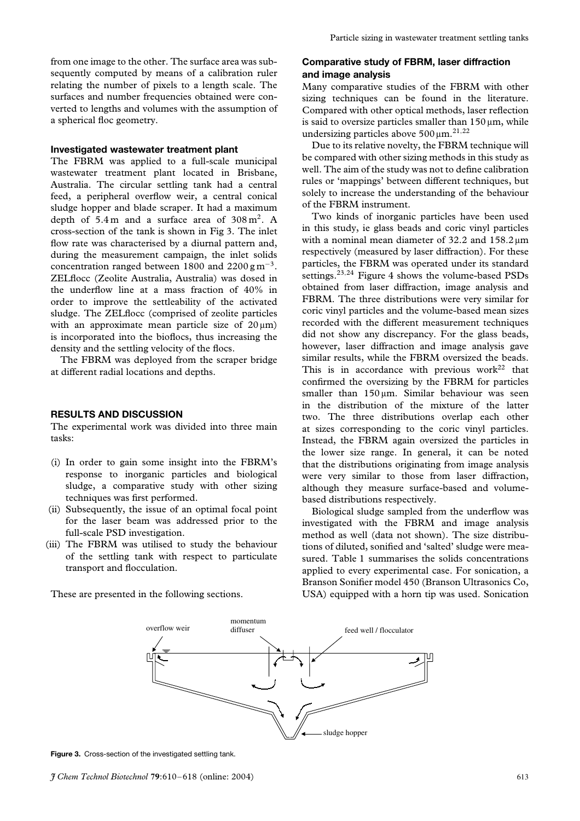from one image to the other. The surface area was subsequently computed by means of a calibration ruler relating the number of pixels to a length scale. The surfaces and number frequencies obtained were converted to lengths and volumes with the assumption of a spherical floc geometry.

#### **Investigated wastewater treatment plant**

The FBRM was applied to a full-scale municipal wastewater treatment plant located in Brisbane, Australia. The circular settling tank had a central feed, a peripheral overflow weir, a central conical sludge hopper and blade scraper. It had a maximum depth of  $5.4 \text{ m}$  and a surface area of  $308 \text{ m}^2$ . A cross-section of the tank is shown in Fig 3. The inlet flow rate was characterised by a diurnal pattern and, during the measurement campaign, the inlet solids concentration ranged between 1800 and 2200 g m<sup>-3</sup>. ZELflocc (Zeolite Australia, Australia) was dosed in the underflow line at a mass fraction of 40% in order to improve the settleability of the activated sludge. The ZELflocc (comprised of zeolite particles with an approximate mean particle size of  $20 \mu m$ ) is incorporated into the bioflocs, thus increasing the density and the settling velocity of the flocs.

The FBRM was deployed from the scraper bridge at different radial locations and depths.

#### **RESULTS AND DISCUSSION**

The experimental work was divided into three main tasks:

- (i) In order to gain some insight into the FBRM's response to inorganic particles and biological sludge, a comparative study with other sizing techniques was first performed.
- (ii) Subsequently, the issue of an optimal focal point for the laser beam was addressed prior to the full-scale PSD investigation.
- (iii) The FBRM was utilised to study the behaviour of the settling tank with respect to particulate transport and flocculation.

These are presented in the following sections.

# **Comparative study of FBRM, laser diffraction and image analysis**

Many comparative studies of the FBRM with other sizing techniques can be found in the literature. Compared with other optical methods, laser reflection is said to oversize particles smaller than  $150 \,\text{\ensuremath{\mu}m}$ , while undersizing particles above  $500 \mu m^{21,22}$ 

Due to its relative novelty, the FBRM technique will be compared with other sizing methods in this study as well. The aim of the study was not to define calibration rules or 'mappings' between different techniques, but solely to increase the understanding of the behaviour of the FBRM instrument.

Two kinds of inorganic particles have been used in this study, ie glass beads and coric vinyl particles with a nominal mean diameter of 32.2 and 158*.*2 µm respectively (measured by laser diffraction). For these particles, the FBRM was operated under its standard settings.23*,*<sup>24</sup> Figure 4 shows the volume-based PSDs obtained from laser diffraction, image analysis and FBRM. The three distributions were very similar for coric vinyl particles and the volume-based mean sizes recorded with the different measurement techniques did not show any discrepancy. For the glass beads, however, laser diffraction and image analysis gave similar results, while the FBRM oversized the beads. This is in accordance with previous work<sup>22</sup> that confirmed the oversizing by the FBRM for particles smaller than  $150 \mu m$ . Similar behaviour was seen in the distribution of the mixture of the latter two. The three distributions overlap each other at sizes corresponding to the coric vinyl particles. Instead, the FBRM again oversized the particles in the lower size range. In general, it can be noted that the distributions originating from image analysis were very similar to those from laser diffraction, although they measure surface-based and volumebased distributions respectively.

Biological sludge sampled from the underflow was investigated with the FBRM and image analysis method as well (data not shown). The size distributions of diluted, sonified and 'salted' sludge were measured. Table 1 summarises the solids concentrations applied to every experimental case. For sonication, a Branson Sonifier model 450 (Branson Ultrasonics Co, USA) equipped with a horn tip was used. Sonication



**Figure 3.** Cross-section of the investigated settling tank.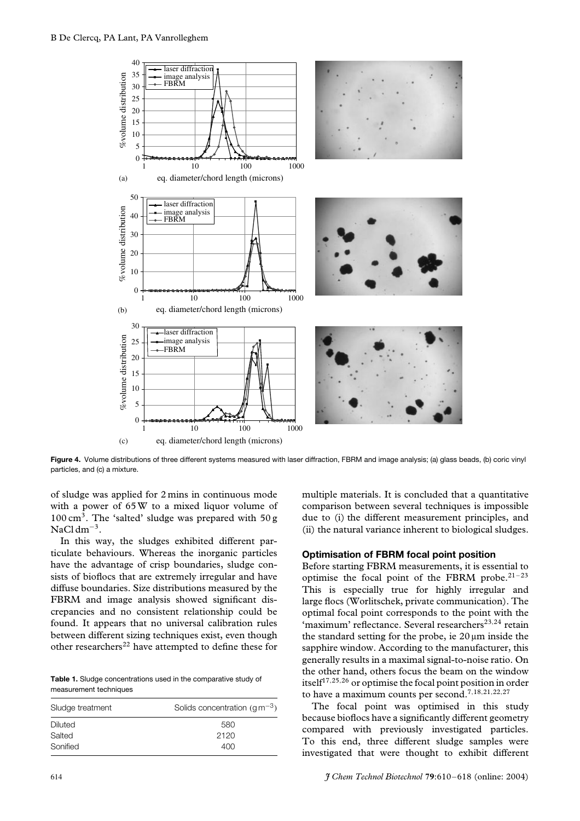

Figure 4. Volume distributions of three different systems measured with laser diffraction, FBRM and image analysis; (a) glass beads, (b) coric vinyl particles, and (c) a mixture.

of sludge was applied for 2 mins in continuous mode with a power of 65 W to a mixed liquor volume of  $100 \text{ cm}^3$ . The 'salted' sludge was prepared with  $50 g$ NaCl dm<sup> $-3$ </sup>.

In this way, the sludges exhibited different particulate behaviours. Whereas the inorganic particles have the advantage of crisp boundaries, sludge consists of bioflocs that are extremely irregular and have diffuse boundaries. Size distributions measured by the FBRM and image analysis showed significant discrepancies and no consistent relationship could be found. It appears that no universal calibration rules between different sizing techniques exist, even though other researchers<sup>22</sup> have attempted to define these for

**Table 1.** Sludge concentrations used in the comparative study of measurement techniques

| Sludge treatment | Solids concentration $(g m^{-3})$ |
|------------------|-----------------------------------|
| Diluted          | 580                               |
| Salted           | 2120                              |
| Sonified         | 400                               |

multiple materials. It is concluded that a quantitative comparison between several techniques is impossible due to (i) the different measurement principles, and (ii) the natural variance inherent to biological sludges.

#### **Optimisation of FBRM focal point position**

Before starting FBRM measurements, it is essential to optimise the focal point of the FBRM probe.21–23 This is especially true for highly irregular and large flocs (Worlitschek, private communication). The optimal focal point corresponds to the point with the 'maximum' reflectance. Several researchers<sup>23,24</sup> retain the standard setting for the probe, ie  $20 \mu m$  inside the sapphire window. According to the manufacturer, this generally results in a maximal signal-to-noise ratio. On the other hand, others focus the beam on the window itsel $f<sup>17,25,26</sup>$  or optimise the focal point position in order to have a maximum counts per second.7*,*18*,*21*,*22*,*<sup>27</sup>

The focal point was optimised in this study because bioflocs have a significantly different geometry compared with previously investigated particles. To this end, three different sludge samples were investigated that were thought to exhibit different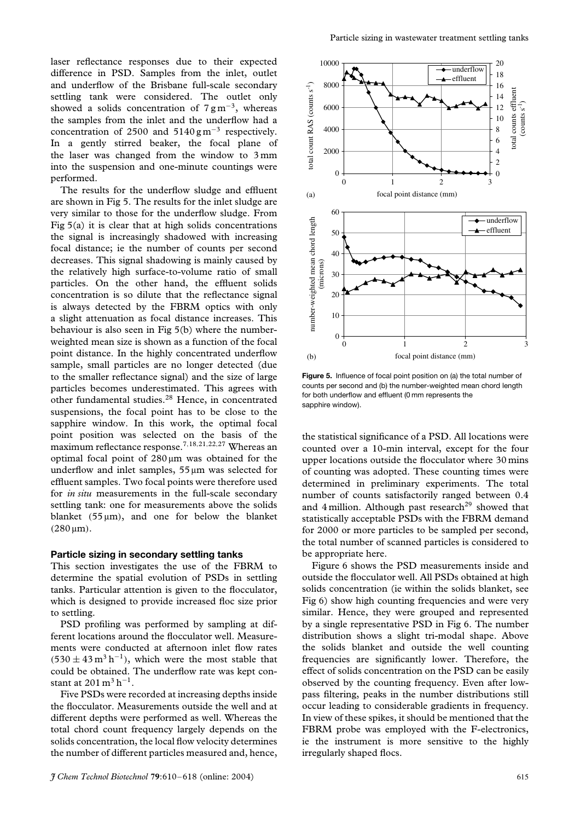laser reflectance responses due to their expected difference in PSD. Samples from the inlet, outlet and underflow of the Brisbane full-scale secondary settling tank were considered. The outlet only showed a solids concentration of  $7 \text{ g m}^{-3}$ , whereas the samples from the inlet and the underflow had a concentration of 2500 and  $5140 \text{ g m}^{-3}$  respectively. In a gently stirred beaker, the focal plane of the laser was changed from the window to 3 mm into the suspension and one-minute countings were performed.

The results for the underflow sludge and effluent are shown in Fig 5. The results for the inlet sludge are very similar to those for the underflow sludge. From Fig 5(a) it is clear that at high solids concentrations the signal is increasingly shadowed with increasing focal distance; ie the number of counts per second decreases. This signal shadowing is mainly caused by the relatively high surface-to-volume ratio of small particles. On the other hand, the effluent solids concentration is so dilute that the reflectance signal is always detected by the FBRM optics with only a slight attenuation as focal distance increases. This behaviour is also seen in Fig 5(b) where the numberweighted mean size is shown as a function of the focal point distance. In the highly concentrated underflow sample, small particles are no longer detected (due to the smaller reflectance signal) and the size of large particles becomes underestimated. This agrees with other fundamental studies.28 Hence, in concentrated suspensions, the focal point has to be close to the sapphire window. In this work, the optimal focal point position was selected on the basis of the maximum reflectance response.7*,*18*,*21*,*22*,*<sup>27</sup> Whereas an optimal focal point of 280 µm was obtained for the underflow and inlet samples, 55 µm was selected for effluent samples. Two focal points were therefore used for *in situ* measurements in the full-scale secondary settling tank: one for measurements above the solids blanket *(*55 µm*)*, and one for below the blanket *(*280 µm*)*.

#### **Particle sizing in secondary settling tanks**

This section investigates the use of the FBRM to determine the spatial evolution of PSDs in settling tanks. Particular attention is given to the flocculator, which is designed to provide increased floc size prior to settling.

PSD profiling was performed by sampling at different locations around the flocculator well. Measurements were conducted at afternoon inlet flow rates  $(530 \pm 43 \text{ m}^3 \text{ h}^{-1})$ , which were the most stable that could be obtained. The underflow rate was kept constant at  $201 \text{ m}^3 \text{ h}^{-1}$ .

Five PSDs were recorded at increasing depths inside the flocculator. Measurements outside the well and at different depths were performed as well. Whereas the total chord count frequency largely depends on the solids concentration, the local flow velocity determines the number of different particles measured and, hence,



**Figure 5.** Influence of focal point position on (a) the total number of counts per second and (b) the number-weighted mean chord length for both underflow and effluent (0 mm represents the sapphire window).

the statistical significance of a PSD. All locations were counted over a 10-min interval, except for the four upper locations outside the flocculator where 30 mins of counting was adopted. These counting times were determined in preliminary experiments. The total number of counts satisfactorily ranged between 0.4 and 4 million. Although past research<sup>29</sup> showed that statistically acceptable PSDs with the FBRM demand for 2000 or more particles to be sampled per second, the total number of scanned particles is considered to be appropriate here.

Figure 6 shows the PSD measurements inside and outside the flocculator well. All PSDs obtained at high solids concentration (ie within the solids blanket, see Fig 6) show high counting frequencies and were very similar. Hence, they were grouped and represented by a single representative PSD in Fig 6. The number distribution shows a slight tri-modal shape. Above the solids blanket and outside the well counting frequencies are significantly lower. Therefore, the effect of solids concentration on the PSD can be easily observed by the counting frequency. Even after lowpass filtering, peaks in the number distributions still occur leading to considerable gradients in frequency. In view of these spikes, it should be mentioned that the FBRM probe was employed with the F-electronics, ie the instrument is more sensitive to the highly irregularly shaped flocs.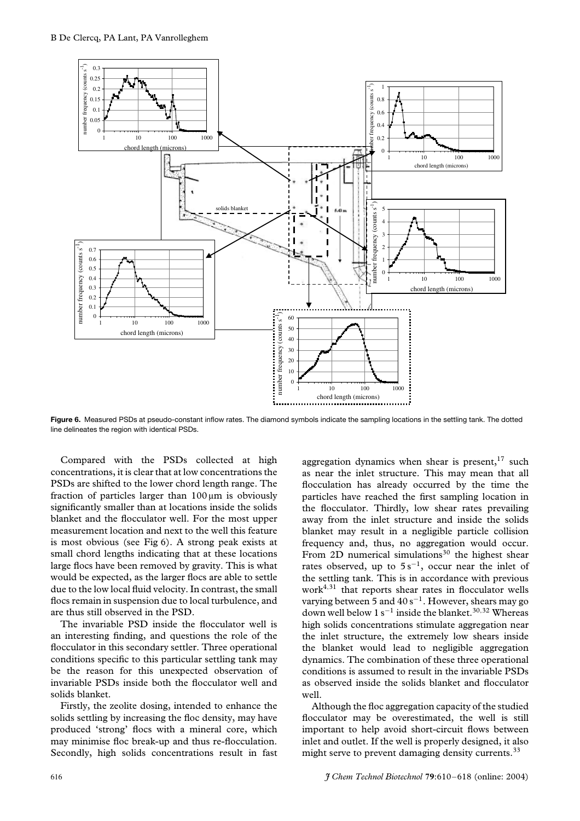

**Figure 6.** Measured PSDs at pseudo-constant inflow rates. The diamond symbols indicate the sampling locations in the settling tank. The dotted line delineates the region with identical PSDs.

Compared with the PSDs collected at high concentrations, it is clear that at low concentrations the PSDs are shifted to the lower chord length range. The fraction of particles larger than  $100 \mu m$  is obviously significantly smaller than at locations inside the solids blanket and the flocculator well. For the most upper measurement location and next to the well this feature is most obvious (see Fig 6). A strong peak exists at small chord lengths indicating that at these locations large flocs have been removed by gravity. This is what would be expected, as the larger flocs are able to settle due to the low local fluid velocity. In contrast, the small flocs remain in suspension due to local turbulence, and are thus still observed in the PSD.

The invariable PSD inside the flocculator well is an interesting finding, and questions the role of the flocculator in this secondary settler. Three operational conditions specific to this particular settling tank may be the reason for this unexpected observation of invariable PSDs inside both the flocculator well and solids blanket.

Firstly, the zeolite dosing, intended to enhance the solids settling by increasing the floc density, may have produced 'strong' flocs with a mineral core, which may minimise floc break-up and thus re-flocculation. Secondly, high solids concentrations result in fast flocculation has already occurred by the time the particles have reached the first sampling location in the flocculator. Thirdly, low shear rates prevailing away from the inlet structure and inside the solids blanket may result in a negligible particle collision frequency and, thus, no aggregation would occur. From 2D numerical simulations $30$  the highest shear rates observed, up to  $5 s^{-1}$ , occur near the inlet of the settling tank. This is in accordance with previous work4*,*<sup>31</sup> that reports shear rates in flocculator wells varying between 5 and  $40 s^{-1}$ . However, shears may go down well below 1 s<sup>-1</sup> inside the blanket.<sup>30,32</sup> Whereas high solids concentrations stimulate aggregation near the inlet structure, the extremely low shears inside the blanket would lead to negligible aggregation dynamics. The combination of these three operational conditions is assumed to result in the invariable PSDs as observed inside the solids blanket and flocculator well. Although the floc aggregation capacity of the studied

aggregation dynamics when shear is present, $17$  such as near the inlet structure. This may mean that all

flocculator may be overestimated, the well is still important to help avoid short-circuit flows between inlet and outlet. If the well is properly designed, it also might serve to prevent damaging density currents.<sup>33</sup>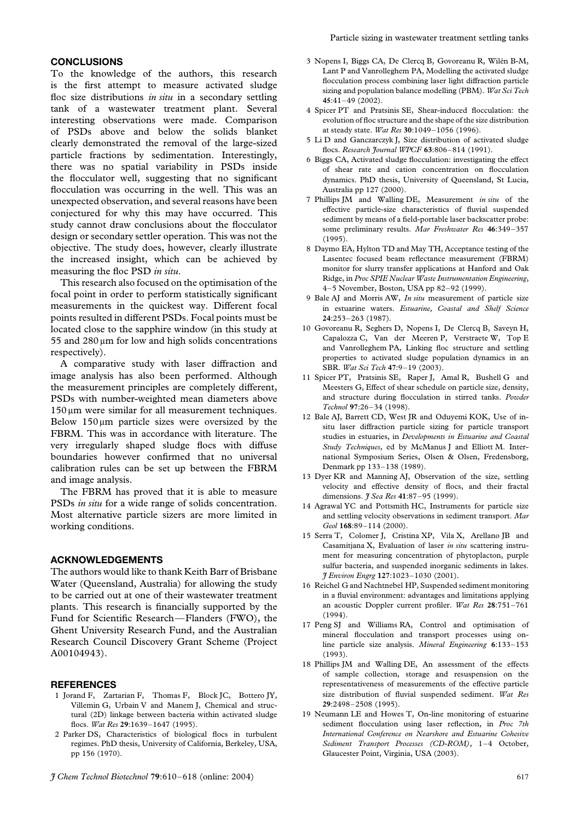## **CONCLUSIONS**

To the knowledge of the authors, this research is the first attempt to measure activated sludge floc size distributions *in situ* in a secondary settling tank of a wastewater treatment plant. Several interesting observations were made. Comparison of PSDs above and below the solids blanket clearly demonstrated the removal of the large-sized particle fractions by sedimentation. Interestingly, there was no spatial variability in PSDs inside the flocculator well, suggesting that no significant flocculation was occurring in the well. This was an unexpected observation, and several reasons have been conjectured for why this may have occurred. This study cannot draw conclusions about the flocculator design or secondary settler operation. This was not the objective. The study does, however, clearly illustrate the increased insight, which can be achieved by measuring the floc PSD *in situ*.

This research also focused on the optimisation of the focal point in order to perform statistically significant measurements in the quickest way. Different focal points resulted in different PSDs. Focal points must be located close to the sapphire window (in this study at 55 and  $280 \mu m$  for low and high solids concentrations respectively).

A comparative study with laser diffraction and image analysis has also been performed. Although the measurement principles are completely different, PSDs with number-weighted mean diameters above 150 µm were similar for all measurement techniques. Below  $150 \mu m$  particle sizes were oversized by the FBRM. This was in accordance with literature. The very irregularly shaped sludge flocs with diffuse boundaries however confirmed that no universal calibration rules can be set up between the FBRM and image analysis.

The FBRM has proved that it is able to measure PSDs *in situ* for a wide range of solids concentration. Most alternative particle sizers are more limited in working conditions.

## **ACKNOWLEDGEMENTS**

The authors would like to thank Keith Barr of Brisbane Water (Queensland, Australia) for allowing the study to be carried out at one of their wastewater treatment plants. This research is financially supported by the Fund for Scientific Research—Flanders (FWO), the Ghent University Research Fund, and the Australian Research Council Discovery Grant Scheme (Project A00104943).

#### **REFERENCES**

- 1 Jorand F, Zartarian F, Thomas F, Block JC, Bottero JY, Villemin G, Urbain V and Manem J, Chemical and structural (2D) linkage between bacteria within activated sludge flocs. *Wat Res* **29**:1639–1647 (1995).
- 2 Parker DS, Characteristics of biological flocs in turbulent regimes. PhD thesis, University of California, Berkeley, USA, pp 156 (1970).
- 3 Nopens I, Biggs CA, De Clercq B, Govoreanu R, Wilen B-M, ´ Lant P and Vanrolleghem PA, Modelling the activated sludge flocculation process combining laser light diffraction particle sizing and population balance modelling (PBM). *Wat Sci Tech* **45**:41–49 (2002).
- 4 Spicer PT and Pratsinis SE, Shear-induced flocculation: the evolution of floc structure and the shape of the size distribution at steady state. *Wat Res* **30**:1049–1056 (1996).
- 5 Li D and Ganczarczyk J, Size distribution of activated sludge flocs. *Research Journal WPCF* **63**:806–814 (1991).
- 6 Biggs CA, Activated sludge flocculation: investigating the effect of shear rate and cation concentration on flocculation dynamics. PhD thesis, University of Queensland, St Lucia, Australia pp 127 (2000).
- 7 Phillips JM and Walling DE, Measurement *in situ* of the effective particle-size characteristics of fluvial suspended sediment by means of a field-portable laser backscatter probe: some preliminary results. *Mar Freshwater Res* **46**:349–357 (1995).
- 8 Daymo EA, Hylton TD and May TH, Acceptance testing of the Lasentec focused beam reflectance measurement (FBRM) monitor for slurry transfer applications at Hanford and Oak Ridge, in *Proc SPIE Nuclear Waste Instrumentation Engineering*, 4–5 November, Boston, USA pp 82–92 (1999).
- 9 Bale AJ and Morris AW, *In situ* measurement of particle size in estuarine waters. *Estuarine, Coastal and Shelf Science* **24**:253–263 (1987).
- 10 Govoreanu R, Seghers D, Nopens I, De Clercq B, Saveyn H, Capalozza C, Van der Meeren P, Verstraete W, Top E and Vanrolleghem PA, Linking floc structure and settling properties to activated sludge population dynamics in an SBR. *Wat Sci Tech* **47**:9–19 (2003).
- 11 Spicer PT, Pratsinis SE, Raper J, Amal R, Bushell G and Meesters G, Effect of shear schedule on particle size, density, and structure during flocculation in stirred tanks. *Powder Technol* **97**:26–34 (1998).
- 12 Bale AJ, Barrett CD, West JR and Oduyemi KOK, Use of insitu laser diffraction particle sizing for particle transport studies in estuaries, in *Developments in Estuarine and Coastal Study Techniques*, ed by McManus J and Elliott M. International Symposium Series, Olsen & Olsen, Fredensborg, Denmark pp 133–138 (1989).
- 13 Dyer KR and Manning AJ, Observation of the size, settling velocity and effective density of flocs, and their fractal dimensions. *J Sea Res* **41**:87–95 (1999).
- 14 Agrawal YC and Pottsmith HC, Instruments for particle size and settling velocity observations in sediment transport. *Mar Geol* **168**:89–114 (2000).
- 15 Serra T, Colomer J, Cristina XP, Vila X, Arellano JB and Casamitjana X, Evaluation of laser *in situ* scattering instrument for measuring concentration of phytoplacton, purple sulfur bacteria, and suspended inorganic sediments in lakes. *J Environ Engrg* **127**:1023–1030 (2001).
- 16 Reichel G and Nachtnebel HP, Suspended sediment monitoring in a fluvial environment: advantages and limitations applying an acoustic Doppler current profiler. *Wat Res* **28**:751–761 (1994).
- 17 Peng SJ and Williams RA, Control and optimisation of mineral flocculation and transport processes using online particle size analysis. *Mineral Engineering* **6**:133–153 (1993).
- 18 Phillips JM and Walling DE, An assessment of the effects of sample collection, storage and resuspension on the representativeness of measurements of the effective particle size distribution of fluvial suspended sediment. *Wat Res* **29**:2498–2508 (1995).
- 19 Neumann LE and Howes T, On-line monitoring of estuarine sediment flocculation using laser reflection, in *Proc 7th International Conference on Nearshore and Estuarine Cohesive Sediment Transport Processes (CD-ROM)*, 1–4 October, Glaucester Point, Virginia, USA (2003).